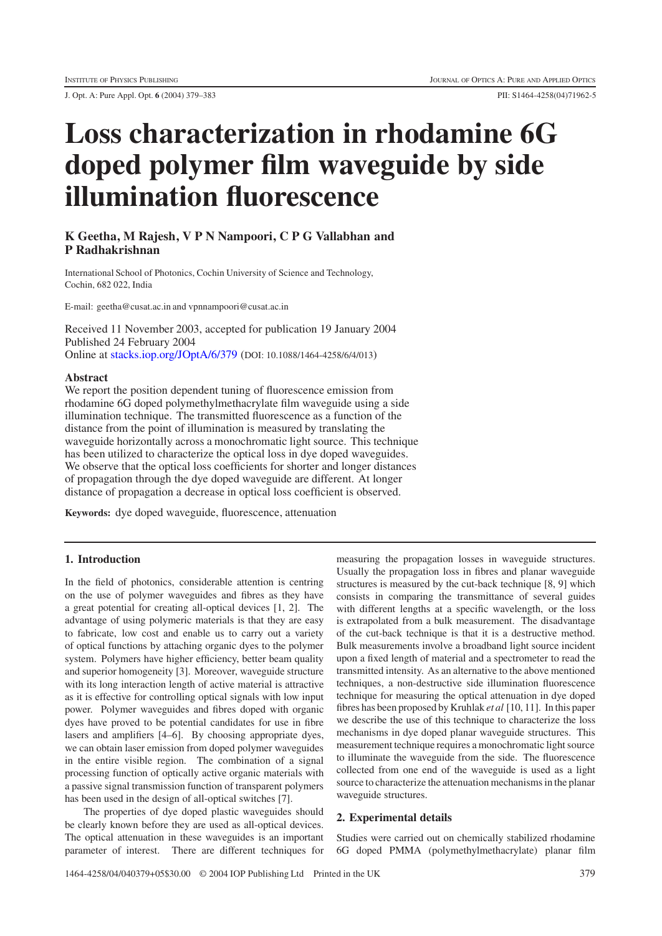J. Opt. A: Pure Appl. Opt. **6** (2004) 379–383 PII: S1464-4258(04)71962-5

# **Loss characterization in rhodamine 6G doped polymer film waveguide by side illumination fluorescence**

# **K Geetha, M Rajesh, V P N Nampoori, C P G Vallabhan and P Radhakrishnan**

International School of Photonics, Cochin University of Science and Technology, Cochin, 682 022, India

E-mail: geetha@cusat.ac.in and vpnnampoori@cusat.ac.in

Received 11 November 2003, accepted for publication 19 January 2004 Published 24 February 2004 Online at [stacks.iop.org/JOptA/6/379](http://stacks.iop.org/JOptA/6/379) (DOI: 10.1088/1464-4258/6/4/013)

#### **Abstract**

We report the position dependent tuning of fluorescence emission from rhodamine 6G doped polymethylmethacrylate film waveguide using a side illumination technique. The transmitted fluorescence as a function of the distance from the point of illumination is measured by translating the waveguide horizontally across a monochromatic light source. This technique has been utilized to characterize the optical loss in dye doped waveguides. We observe that the optical loss coefficients for shorter and longer distances of propagation through the dye doped waveguide are different. At longer distance of propagation a decrease in optical loss coefficient is observed.

**Keywords:** dye doped waveguide, fluorescence, attenuation

## **1. Introduction**

In the field of photonics, considerable attention is centring on the use of polymer waveguides and fibres as they have a great potential for creating all-optical devices [1, 2]. The advantage of using polymeric materials is that they are easy to fabricate, low cost and enable us to carry out a variety of optical functions by attaching organic dyes to the polymer system. Polymers have higher efficiency, better beam quality and superior homogeneity [3]. Moreover, waveguide structure with its long interaction length of active material is attractive as it is effective for controlling optical signals with low input power. Polymer waveguides and fibres doped with organic dyes have proved to be potential candidates for use in fibre lasers and amplifiers [4–6]. By choosing appropriate dyes, we can obtain laser emission from doped polymer waveguides in the entire visible region. The combination of a signal processing function of optically active organic materials with a passive signal transmission function of transparent polymers has been used in the design of all-optical switches [7].

The properties of dye doped plastic waveguides should be clearly known before they are used as all-optical devices. The optical attenuation in these waveguides is an important parameter of interest. There are different techniques for measuring the propagation losses in waveguide structures. Usually the propagation loss in fibres and planar waveguide structures is measured by the cut-back technique [8, 9] which consists in comparing the transmittance of several guides with different lengths at a specific wavelength, or the loss is extrapolated from a bulk measurement. The disadvantage of the cut-back technique is that it is a destructive method. Bulk measurements involve a broadband light source incident upon a fixed length of material and a spectrometer to read the transmitted intensity. As an alternative to the above mentioned techniques, a non-destructive side illumination fluorescence technique for measuring the optical attenuation in dye doped fibres has been proposed by Kruhlak *et al* [10, 11]. In this paper we describe the use of this technique to characterize the loss mechanisms in dye doped planar waveguide structures. This measurement technique requires a monochromatic light source to illuminate the waveguide from the side. The fluorescence collected from one end of the waveguide is used as a light source to characterize the attenuation mechanisms in the planar waveguide structures.

#### **2. Experimental details**

Studies were carried out on chemically stabilized rhodamine 6G doped PMMA (polymethylmethacrylate) planar film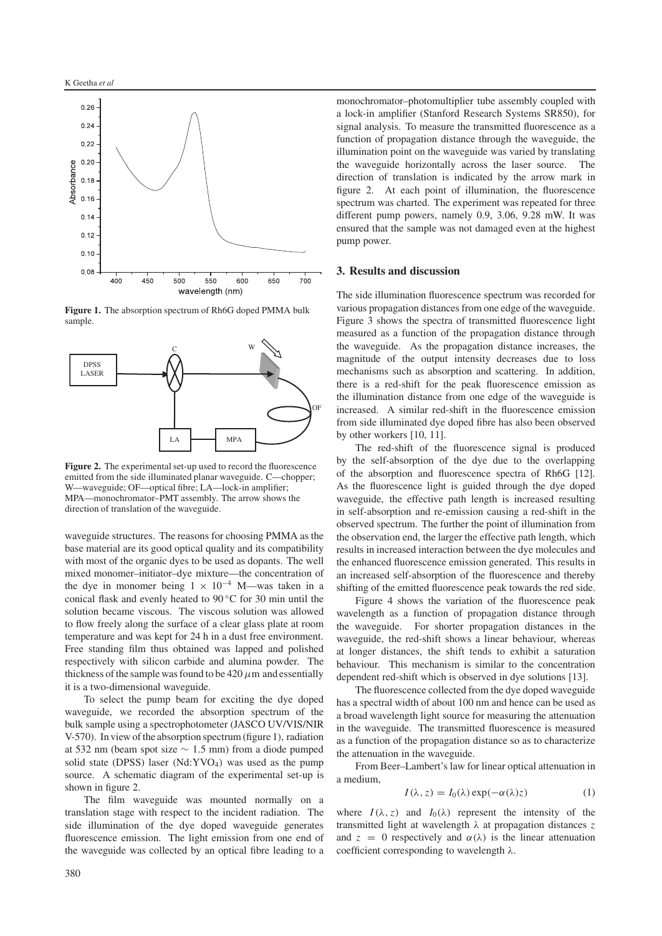

**Figure 1.** The absorption spectrum of Rh6G doped PMMA bulk sample.



**Figure 2.** The experimental set-up used to record the fluorescence emitted from the side illuminated planar waveguide. C—chopper; W—waveguide; OF—optical fibre; LA—lock-in amplifier; MPA—monochromator–PMT assembly. The arrow shows the direction of translation of the waveguide.

waveguide structures. The reasons for choosing PMMA as the base material are its good optical quality and its compatibility with most of the organic dyes to be used as dopants. The well mixed monomer–initiator–dye mixture—the concentration of the dye in monomer being  $1 \times 10^{-4}$  M—was taken in a conical flask and evenly heated to 90 ◦C for 30 min until the solution became viscous. The viscous solution was allowed to flow freely along the surface of a clear glass plate at room temperature and was kept for 24 h in a dust free environment. Free standing film thus obtained was lapped and polished respectively with silicon carbide and alumina powder. The thickness of the sample was found to be  $420 \mu m$  and essentially it is a two-dimensional waveguide.

To select the pump beam for exciting the dye doped waveguide, we recorded the absorption spectrum of the bulk sample using a spectrophotometer (JASCO UV/VIS/NIR V-570). In view of the absorption spectrum (figure 1), radiation at 532 nm (beam spot size ∼ 1.5 mm) from a diode pumped solid state (DPSS) laser  $(Nd:YVO<sub>4</sub>)$  was used as the pump source. A schematic diagram of the experimental set-up is shown in figure 2.

The film waveguide was mounted normally on a translation stage with respect to the incident radiation. The side illumination of the dye doped waveguide generates fluorescence emission. The light emission from one end of the waveguide was collected by an optical fibre leading to a

monochromator–photomultiplier tube assembly coupled with a lock-in amplifier (Stanford Research Systems SR850), for signal analysis. To measure the transmitted fluorescence as a function of propagation distance through the waveguide, the illumination point on the waveguide was varied by translating the waveguide horizontally across the laser source. The direction of translation is indicated by the arrow mark in figure 2. At each point of illumination, the fluorescence spectrum was charted. The experiment was repeated for three different pump powers, namely 0.9, 3.06, 9.28 mW. It was ensured that the sample was not damaged even at the highest pump power.

#### **3. Results and discussion**

The side illumination fluorescence spectrum was recorded for various propagation distances from one edge of the waveguide. Figure 3 shows the spectra of transmitted fluorescence light measured as a function of the propagation distance through the waveguide. As the propagation distance increases, the magnitude of the output intensity decreases due to loss mechanisms such as absorption and scattering. In addition, there is a red-shift for the peak fluorescence emission as the illumination distance from one edge of the waveguide is increased. A similar red-shift in the fluorescence emission from side illuminated dye doped fibre has also been observed by other workers [10, 11].

The red-shift of the fluorescence signal is produced by the self-absorption of the dye due to the overlapping of the absorption and fluorescence spectra of Rh6G [12]. As the fluorescence light is guided through the dye doped waveguide, the effective path length is increased resulting in self-absorption and re-emission causing a red-shift in the observed spectrum. The further the point of illumination from the observation end, the larger the effective path length, which results in increased interaction between the dye molecules and the enhanced fluorescence emission generated. This results in an increased self-absorption of the fluorescence and thereby shifting of the emitted fluorescence peak towards the red side.

Figure 4 shows the variation of the fluorescence peak wavelength as a function of propagation distance through the waveguide. For shorter propagation distances in the waveguide, the red-shift shows a linear behaviour, whereas at longer distances, the shift tends to exhibit a saturation behaviour. This mechanism is similar to the concentration dependent red-shift which is observed in dye solutions [13].

The fluorescence collected from the dye doped waveguide has a spectral width of about 100 nm and hence can be used as a broad wavelength light source for measuring the attenuation in the waveguide. The transmitted fluorescence is measured as a function of the propagation distance so as to characterize the attenuation in the waveguide.

From Beer–Lambert's law for linear optical attenuation in a medium,

$$
I(\lambda, z) = I_0(\lambda) \exp(-\alpha(\lambda)z)
$$
 (1)

where  $I(\lambda, z)$  and  $I_0(\lambda)$  represent the intensity of the transmitted light at wavelength λ at propagation distances *z* and  $z = 0$  respectively and  $\alpha(\lambda)$  is the linear attenuation coefficient corresponding to wavelength  $\lambda$ .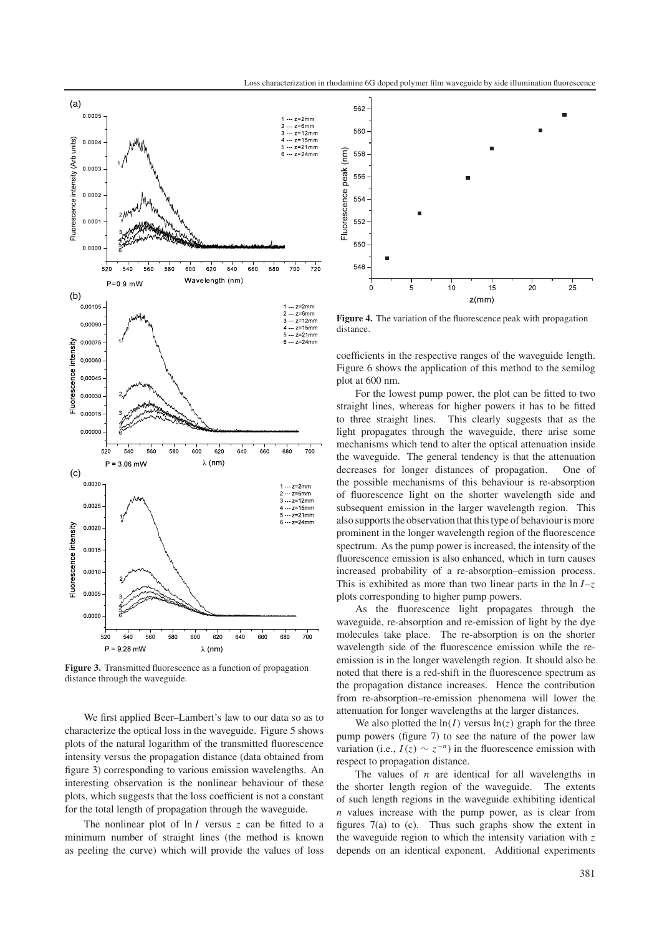

**Figure 3.** Transmitted fluorescence as a function of propagation distance through the waveguide.

We first applied Beer–Lambert's law to our data so as to characterize the optical loss in the waveguide. Figure 5 shows plots of the natural logarithm of the transmitted fluorescence intensity versus the propagation distance (data obtained from figure 3) corresponding to various emission wavelengths. An interesting observation is the nonlinear behaviour of these plots, which suggests that the loss coefficient is not a constant for the total length of propagation through the waveguide.

The nonlinear plot of ln *I* versus *z* can be fitted to a minimum number of straight lines (the method is known as peeling the curve) which will provide the values of loss



**Figure 4.** The variation of the fluorescence peak with propagation distance.

coefficients in the respective ranges of the waveguide length. Figure 6 shows the application of this method to the semilog plot at 600 nm.

For the lowest pump power, the plot can be fitted to two straight lines, whereas for higher powers it has to be fitted to three straight lines. This clearly suggests that as the light propagates through the waveguide, there arise some mechanisms which tend to alter the optical attenuation inside the waveguide. The general tendency is that the attenuation decreases for longer distances of propagation. One of the possible mechanisms of this behaviour is re-absorption of fluorescence light on the shorter wavelength side and subsequent emission in the larger wavelength region. This also supports the observation that this type of behaviour is more prominent in the longer wavelength region of the fluorescence spectrum. As the pump power is increased, the intensity of the fluorescence emission is also enhanced, which in turn causes increased probability of a re-absorption–emission process. This is exhibited as more than two linear parts in the  $\ln I - z$ plots corresponding to higher pump powers.

As the fluorescence light propagates through the waveguide, re-absorption and re-emission of light by the dye molecules take place. The re-absorption is on the shorter wavelength side of the fluorescence emission while the reemission is in the longer wavelength region. It should also be noted that there is a red-shift in the fluorescence spectrum as the propagation distance increases. Hence the contribution from re-absorption–re-emission phenomena will lower the attenuation for longer wavelengths at the larger distances.

We also plotted the  $ln(I)$  versus  $ln(z)$  graph for the three pump powers (figure 7) to see the nature of the power law variation (i.e.,  $I(z) \sim z^{-n}$ ) in the fluorescence emission with respect to propagation distance.

The values of *n* are identical for all wavelengths in the shorter length region of the waveguide. The extents of such length regions in the waveguide exhibiting identical *n* values increase with the pump power, as is clear from figures 7(a) to (c). Thus such graphs show the extent in the waveguide region to which the intensity variation with *z* depends on an identical exponent. Additional experiments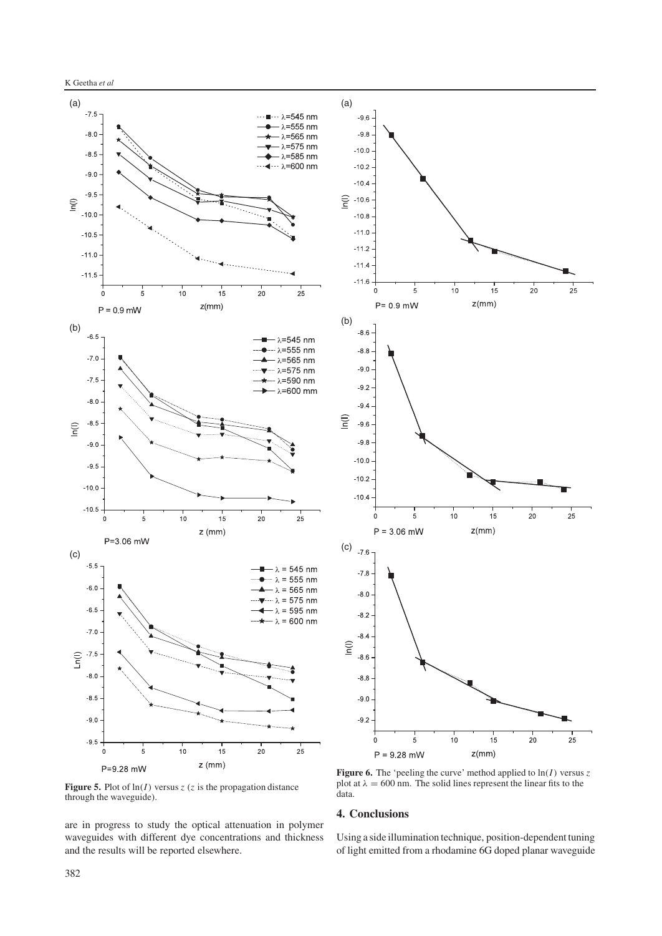

**Figure 5.** Plot of  $ln(I)$  versus *z* (*z* is the propagation distance through the waveguide).

are in progress to study the optical attenuation in polymer waveguides with different dye concentrations and thickness and the results will be reported elsewhere.

plot at  $\lambda = 600$  nm. The solid lines represent the linear fits to the data.

#### **4. Conclusions**

Using a side illumination technique, position-dependent tuning of light emitted from a rhodamine 6G doped planar waveguide